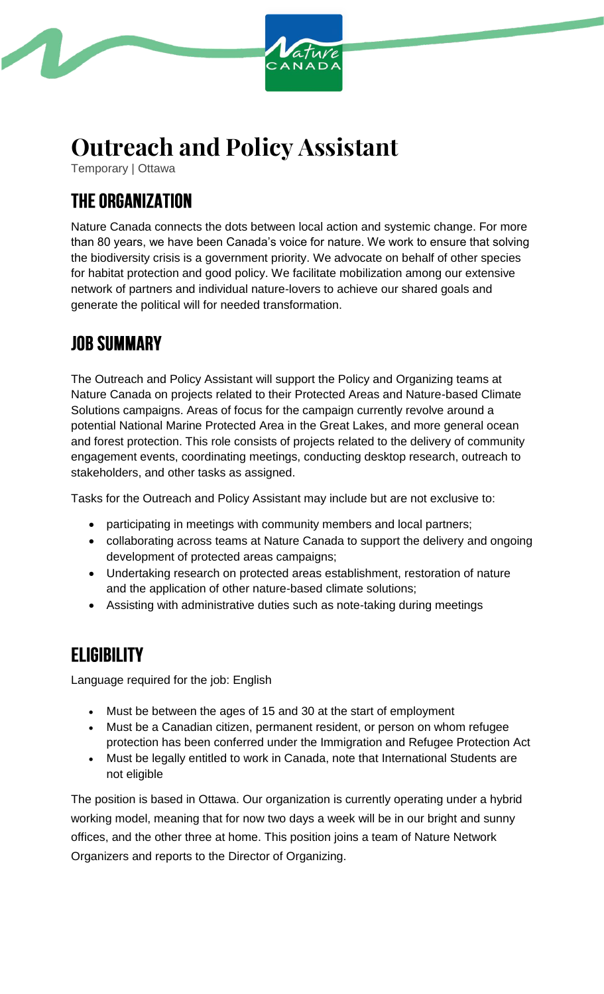

# **Outreach and Policy Assistant**

Temporary | Ottawa

# **THE ORGANIZATION**

Nature Canada connects the dots between local action and systemic change. For more than 80 years, we have been Canada's voice for nature. We work to ensure that solving the biodiversity crisis is a government priority. We advocate on behalf of other species for habitat protection and good policy. We facilitate mobilization among our extensive network of partners and individual nature-lovers to achieve our shared goals and generate the political will for needed transformation.

## **JOB SUMMARY**

The Outreach and Policy Assistant will support the Policy and Organizing teams at Nature Canada on projects related to their Protected Areas and Nature-based Climate Solutions campaigns. Areas of focus for the campaign currently revolve around a potential National Marine Protected Area in the Great Lakes, and more general ocean and forest protection. This role consists of projects related to the delivery of community engagement events, coordinating meetings, conducting desktop research, outreach to stakeholders, and other tasks as assigned.

Tasks for the Outreach and Policy Assistant may include but are not exclusive to:

- participating in meetings with community members and local partners;
- collaborating across teams at Nature Canada to support the delivery and ongoing development of protected areas campaigns;
- Undertaking research on protected areas establishment, restoration of nature and the application of other nature-based climate solutions;
- Assisting with administrative duties such as note-taking during meetings

#### **ELIGIBILITY**

Language required for the job: English

- Must be between the ages of 15 and 30 at the start of employment
- Must be a Canadian citizen, permanent resident, or person on whom refugee protection has been conferred under the Immigration and Refugee Protection Act
- Must be legally entitled to work in Canada, note that International Students are not eligible

The position is based in Ottawa. Our organization is currently operating under a hybrid working model, meaning that for now two days a week will be in our bright and sunny offices, and the other three at home. This position joins a team of Nature Network Organizers and reports to the Director of Organizing.